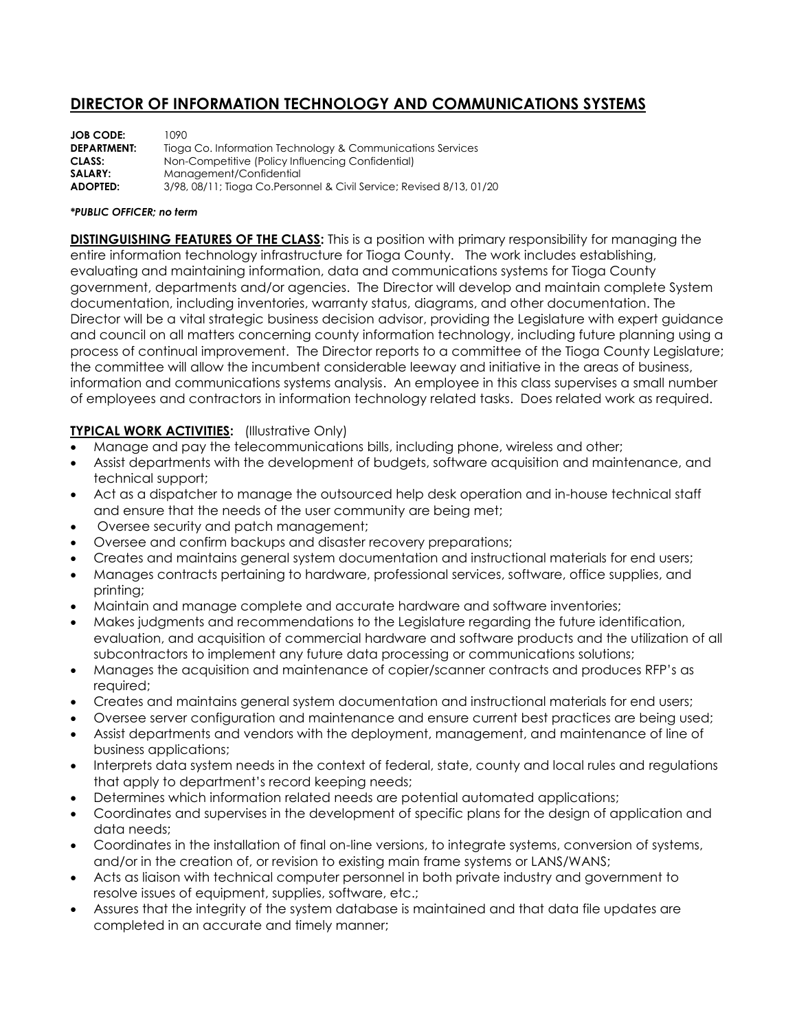## **DIRECTOR OF INFORMATION TECHNOLOGY AND COMMUNICATIONS SYSTEMS**

| <b>JOB CODE:</b>   | 1090.                                                                |
|--------------------|----------------------------------------------------------------------|
| <b>DEPARTMENT:</b> | Tioga Co. Information Technology & Communications Services           |
| CLASS:             | Non-Competitive (Policy Influencing Confidential)                    |
| SALARY:            | Management/Confidential                                              |
| <b>ADOPTED:</b>    | 3/98, 08/11; Tioga Co.Personnel & Civil Service; Revised 8/13, 01/20 |

## *\*PUBLIC OFFICER; no term*

**DISTINGUISHING FEATURES OF THE CLASS:** This is a position with primary responsibility for managing the entire information technology infrastructure for Tioga County. The work includes establishing, evaluating and maintaining information, data and communications systems for Tioga County government, departments and/or agencies. The Director will develop and maintain complete System documentation, including inventories, warranty status, diagrams, and other documentation. The Director will be a vital strategic business decision advisor, providing the Legislature with expert guidance and council on all matters concerning county information technology, including future planning using a process of continual improvement. The Director reports to a committee of the Tioga County Legislature; the committee will allow the incumbent considerable leeway and initiative in the areas of business, information and communications systems analysis. An employee in this class supervises a small number of employees and contractors in information technology related tasks. Does related work as required.

## **TYPICAL WORK ACTIVITIES:** (Illustrative Only)

- Manage and pay the telecommunications bills, including phone, wireless and other;
- Assist departments with the development of budgets, software acquisition and maintenance, and technical support;
- Act as a dispatcher to manage the outsourced help desk operation and in-house technical staff and ensure that the needs of the user community are being met;
- Oversee security and patch management;
- Oversee and confirm backups and disaster recovery preparations;
- Creates and maintains general system documentation and instructional materials for end users;
- Manages contracts pertaining to hardware, professional services, software, office supplies, and printing;
- Maintain and manage complete and accurate hardware and software inventories;
- Makes judgments and recommendations to the Legislature regarding the future identification, evaluation, and acquisition of commercial hardware and software products and the utilization of all subcontractors to implement any future data processing or communications solutions;
- Manages the acquisition and maintenance of copier/scanner contracts and produces RFP's as required;
- Creates and maintains general system documentation and instructional materials for end users;
- Oversee server configuration and maintenance and ensure current best practices are being used;
- Assist departments and vendors with the deployment, management, and maintenance of line of business applications;
- Interprets data system needs in the context of federal, state, county and local rules and regulations that apply to department's record keeping needs;
- Determines which information related needs are potential automated applications;
- Coordinates and supervises in the development of specific plans for the design of application and data needs;
- Coordinates in the installation of final on-line versions, to integrate systems, conversion of systems, and/or in the creation of, or revision to existing main frame systems or LANS/WANS;
- Acts as liaison with technical computer personnel in both private industry and government to resolve issues of equipment, supplies, software, etc.;
- Assures that the integrity of the system database is maintained and that data file updates are completed in an accurate and timely manner;